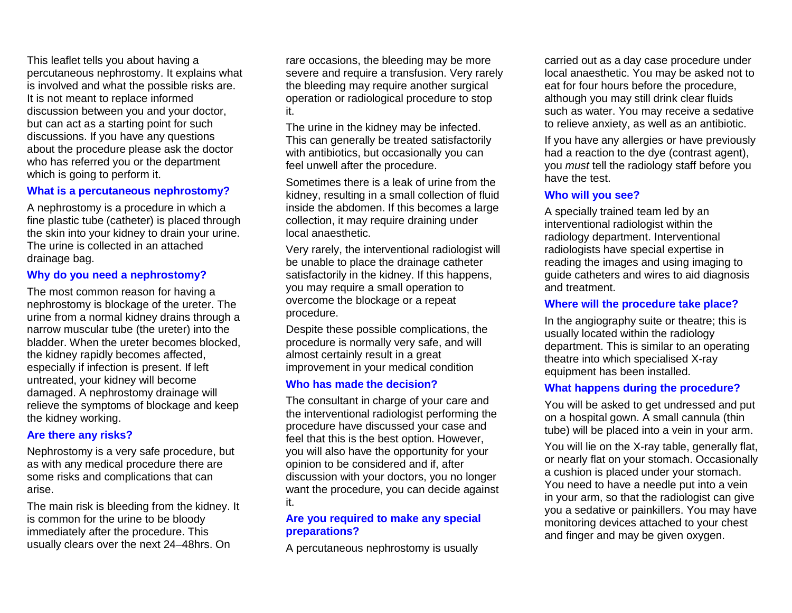This leaflet tells you about having a percutaneous nephrostomy. It explains what is involved and what the possible risks are. It is not meant to replace informed discussion between you and your doctor, but can act as a starting point for such discussions. If you have any questions about the procedure please ask the doctor who has referred you or the department which is going to perform it.

#### **What is a percutaneous nephrostomy?**

A nephrostomy is a procedure in which a fine plastic tube (catheter) is placed through the skin into your kidney to drain your urine. The urine is collected in an attached drainage bag.

#### **Why do you need a nephrostomy?**

The most common reason for having a nephrostomy is blockage of the ureter. The urine from a normal kidney drains through a narrow muscular tube (the ureter) into the bladder. When the ureter becomes blocked, the kidney rapidly becomes affected, especially if infection is present. If left untreated, your kidney will become damaged. A nephrostomy drainage will relieve the symptoms of blockage and keep the kidney working.

#### **Are there any risks?**

Nephrostomy is a very safe procedure, but as with any medical procedure there are some risks and complications that can arise.

The main risk is bleeding from the kidney. It is common for the urine to be bloody immediately after the procedure. This usually clears over the next 24–48hrs. On

rare occasions, the bleeding may be more severe and require a transfusion. Very rarely the bleeding may require another surgical operation or radiological procedure to stop it.

The urine in the kidney may be infected. This can generally be treated satisfactorily with antibiotics, but occasionally you can feel unwell after the procedure.

Sometimes there is a leak of urine from the kidney, resulting in a small collection of fluid inside the abdomen. If this becomes a large collection, it may require draining under local anaesthetic.

Very rarely, the interventional radiologist will be unable to place the drainage catheter satisfactorily in the kidney. If this happens, you may require a small operation to overcome the blockage or a repeat procedure.

Despite these possible complications, the procedure is normally very safe, and will almost certainly result in a great improvement in your medical condition

#### **Who has made the decision?**

The consultant in charge of your care and the interventional radiologist performing the procedure have discussed your case and feel that this is the best option. However, you will also have the opportunity for your opinion to be considered and if, after discussion with your doctors, you no longer want the procedure, you can decide against it.

#### **Are you required to make any special preparations?**

A percutaneous nephrostomy is usually

carried out as a day case procedure under local anaesthetic. You may be asked not to eat for four hours before the procedure, although you may still drink clear fluids such as water. You may receive a sedative to relieve anxiety, as well as an antibiotic.

If you have any allergies or have previously had a reaction to the dye (contrast agent), you *must* tell the radiology staff before you have the test.

#### **Who will you see?**

A specially trained team led by an interventional radiologist within the radiology department. Interventional radiologists have special expertise in reading the images and using imaging to guide catheters and wires to aid diagnosis and treatment.

#### **Where will the procedure take place?**

In the angiography suite or theatre; this is usually located within the radiology department. This is similar to an operating theatre into which specialised X-ray equipment has been installed.

#### **What happens during the procedure?**

You will be asked to get undressed and put on a hospital gown. A small cannula (thin tube) will be placed into a vein in your arm.

You will lie on the X-ray table, generally flat, or nearly flat on your stomach. Occasionally a cushion is placed under your stomach. You need to have a needle put into a vein in your arm, so that the radiologist can give you a sedative or painkillers. You may have monitoring devices attached to your chest and finger and may be given oxygen.